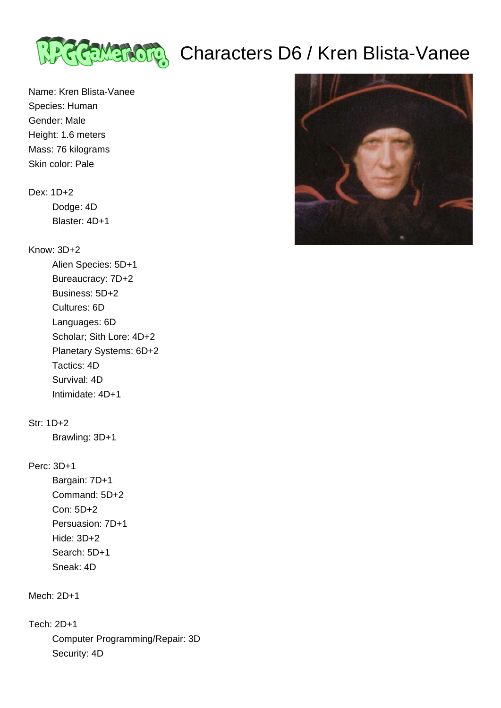

# ट्टिलिया अधिक Characters D6 / Kren Blista-Vanee

Name: Kren Blista-Vanee Species: Human Gender: Male Height: 1.6 meters Mass: 76 kilograms Skin color: Pale

### Dex: 1D+2

 Dodge: 4D Blaster: 4D+1

# Know: 3D+2

 Alien Species: 5D+1 Bureaucracy: 7D+2 Business: 5D+2 Cultures: 6D Languages: 6D Scholar; Sith Lore: 4D+2 Planetary Systems: 6D+2 Tactics: 4D Survival: 4D Intimidate: 4D+1

# Str: 1D+2

Brawling: 3D+1

### Perc: 3D+1

 Bargain: 7D+1 Command: 5D+2 Con: 5D+2 Persuasion: 7D+1 Hide: 3D+2 Search: 5D+1 Sneak: 4D

Mech: 2D+1

Tech: 2D+1

 Computer Programming/Repair: 3D Security: 4D

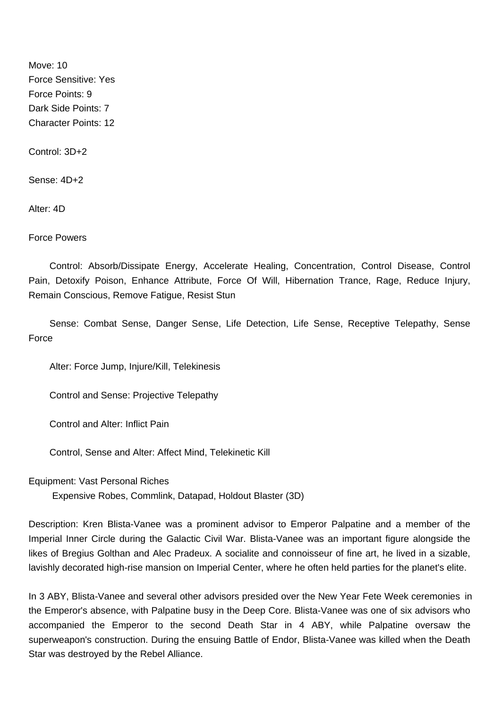Move: 10 Force Sensitive: Yes Force Points: 9 Dark Side Points: 7 Character Points: 12

Control: 3D+2

Sense: 4D+2

Alter: 4D

Force Powers

 Control: Absorb/Dissipate Energy, Accelerate Healing, Concentration, Control Disease, Control Pain, Detoxify Poison, Enhance Attribute, Force Of Will, Hibernation Trance, Rage, Reduce Injury, Remain Conscious, Remove Fatigue, Resist Stun

 Sense: Combat Sense, Danger Sense, Life Detection, Life Sense, Receptive Telepathy, Sense Force

Alter: Force Jump, Injure/Kill, Telekinesis

Control and Sense: Projective Telepathy

Control and Alter: Inflict Pain

Control, Sense and Alter: Affect Mind, Telekinetic Kill

Equipment: Vast Personal Riches

Expensive Robes, Commlink, Datapad, Holdout Blaster (3D)

Description: Kren Blista-Vanee was a prominent advisor to Emperor Palpatine and a member of the Imperial Inner Circle during the Galactic Civil War. Blista-Vanee was an important figure alongside the likes of Bregius Golthan and Alec Pradeux. A socialite and connoisseur of fine art, he lived in a sizable, lavishly decorated high-rise mansion on Imperial Center, where he often held parties for the planet's elite.

In 3 ABY, Blista-Vanee and several other advisors presided over the New Year Fete Week ceremonies in the Emperor's absence, with Palpatine busy in the Deep Core. Blista-Vanee was one of six advisors who accompanied the Emperor to the second Death Star in 4 ABY, while Palpatine oversaw the superweapon's construction. During the ensuing Battle of Endor, Blista-Vanee was killed when the Death Star was destroyed by the Rebel Alliance.